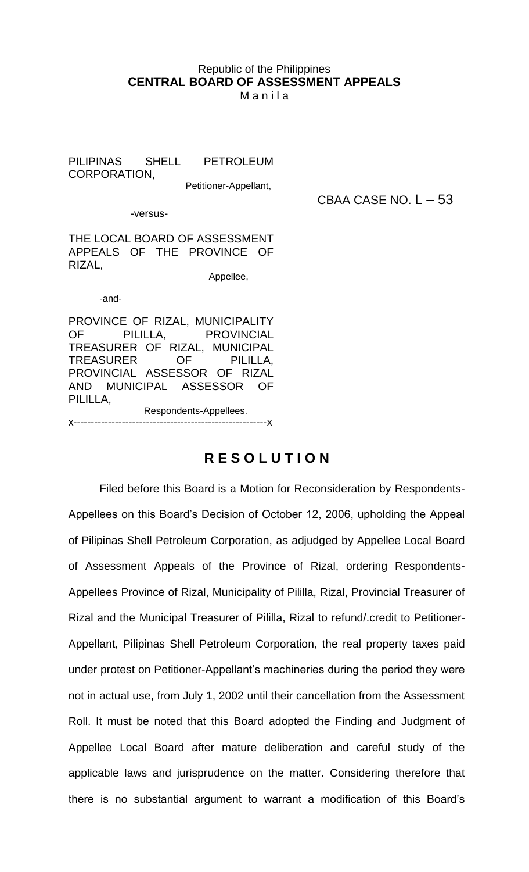## Republic of the Philippines **CENTRAL BOARD OF ASSESSMENT APPEALS**

M a n i l a

PILIPINAS SHELL PETROLEUM CORPORATION,

Petitioner-Appellant,

CBAA CASE NO.  $L - 53$ 

-versus-

THE LOCAL BOARD OF ASSESSMENT APPEALS OF THE PROVINCE OF RIZAL,

Appellee,

-and-

PROVINCE OF RIZAL, MUNICIPALITY OF PILILLA, PROVINCIAL TREASURER OF RIZAL, MUNICIPAL TREASURER OF PILILLA, PROVINCIAL ASSESSOR OF RIZAL AND MUNICIPAL ASSESSOR OF PILILLA, Respondents-Appellees. x--------------------------------------------------------x

**R E S O L U T I O N**

Filed before this Board is a Motion for Reconsideration by Respondents-Appellees on this Board's Decision of October 12, 2006, upholding the Appeal of Pilipinas Shell Petroleum Corporation, as adjudged by Appellee Local Board of Assessment Appeals of the Province of Rizal, ordering Respondents-Appellees Province of Rizal, Municipality of Pililla, Rizal, Provincial Treasurer of Rizal and the Municipal Treasurer of Pililla, Rizal to refund/.credit to Petitioner-Appellant, Pilipinas Shell Petroleum Corporation, the real property taxes paid under protest on Petitioner-Appellant's machineries during the period they were not in actual use, from July 1, 2002 until their cancellation from the Assessment Roll. It must be noted that this Board adopted the Finding and Judgment of Appellee Local Board after mature deliberation and careful study of the applicable laws and jurisprudence on the matter. Considering therefore that there is no substantial argument to warrant a modification of this Board's